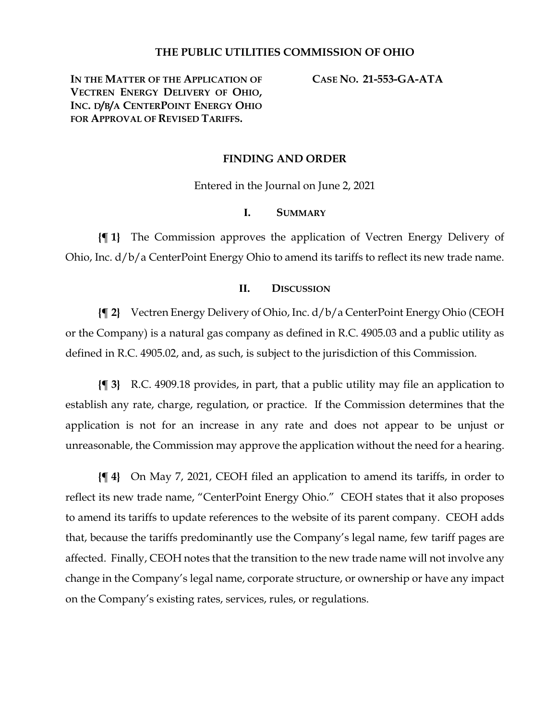## **THE PUBLIC UTILITIES COMMISSION OF OHIO**

**IN THE MATTER OF THE APPLICATION OF VECTREN ENERGY DELIVERY OF OHIO, INC. D/B/A CENTERPOINT ENERGY OHIO FOR APPROVAL OF REVISED TARIFFS.**

**CASE NO. 21-553-GA-ATA**

### **FINDING AND ORDER**

Entered in the Journal on June 2, 2021

#### **I. SUMMARY**

**{¶ 1}** The Commission approves the application of Vectren Energy Delivery of Ohio, Inc. d/b/a CenterPoint Energy Ohio to amend its tariffs to reflect its new trade name.

#### **II. DISCUSSION**

**{¶ 2}** Vectren Energy Delivery of Ohio, Inc. d/b/a CenterPoint Energy Ohio (CEOH or the Company) is a natural gas company as defined in R.C. 4905.03 and a public utility as defined in R.C. 4905.02, and, as such, is subject to the jurisdiction of this Commission.

**{¶ 3}** R.C. 4909.18 provides, in part, that a public utility may file an application to establish any rate, charge, regulation, or practice. If the Commission determines that the application is not for an increase in any rate and does not appear to be unjust or unreasonable, the Commission may approve the application without the need for a hearing.

**{¶ 4}** On May 7, 2021, CEOH filed an application to amend its tariffs, in order to reflect its new trade name, "CenterPoint Energy Ohio." CEOH states that it also proposes to amend its tariffs to update references to the website of its parent company. CEOH adds that, because the tariffs predominantly use the Company's legal name, few tariff pages are affected. Finally, CEOH notes that the transition to the new trade name will not involve any change in the Company's legal name, corporate structure, or ownership or have any impact on the Company's existing rates, services, rules, or regulations.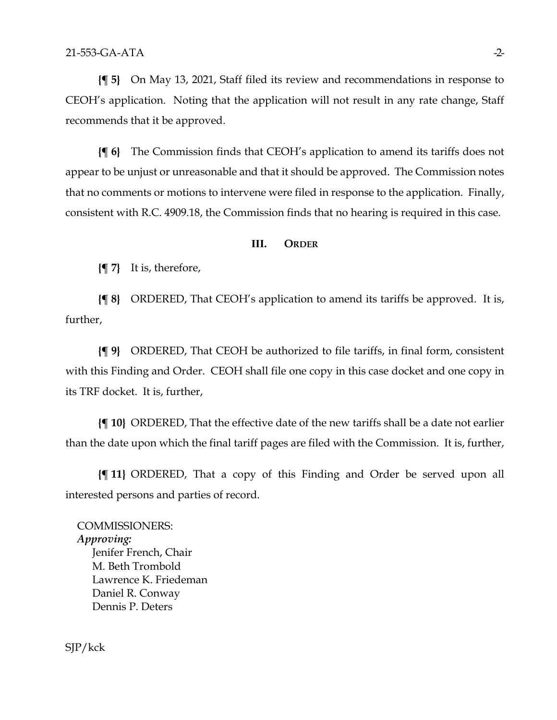**{¶ 5}** On May 13, 2021, Staff filed its review and recommendations in response to CEOH's application. Noting that the application will not result in any rate change, Staff recommends that it be approved.

**{¶ 6}** The Commission finds that CEOH's application to amend its tariffs does not appear to be unjust or unreasonable and that it should be approved. The Commission notes that no comments or motions to intervene were filed in response to the application. Finally, consistent with R.C. 4909.18, the Commission finds that no hearing is required in this case.

#### **III. ORDER**

**{¶ 7}** It is, therefore,

**{¶ 8}** ORDERED, That CEOH's application to amend its tariffs be approved. It is, further,

**{¶ 9}** ORDERED, That CEOH be authorized to file tariffs, in final form, consistent with this Finding and Order. CEOH shall file one copy in this case docket and one copy in its TRF docket. It is, further,

**{¶ 10}** ORDERED, That the effective date of the new tariffs shall be a date not earlier than the date upon which the final tariff pages are filed with the Commission. It is, further,

**{¶ 11}** ORDERED, That a copy of this Finding and Order be served upon all interested persons and parties of record.

COMMISSIONERS: *Approving:*  Jenifer French, Chair M. Beth Trombold Lawrence K. Friedeman Daniel R. Conway Dennis P. Deters

SJP/kck